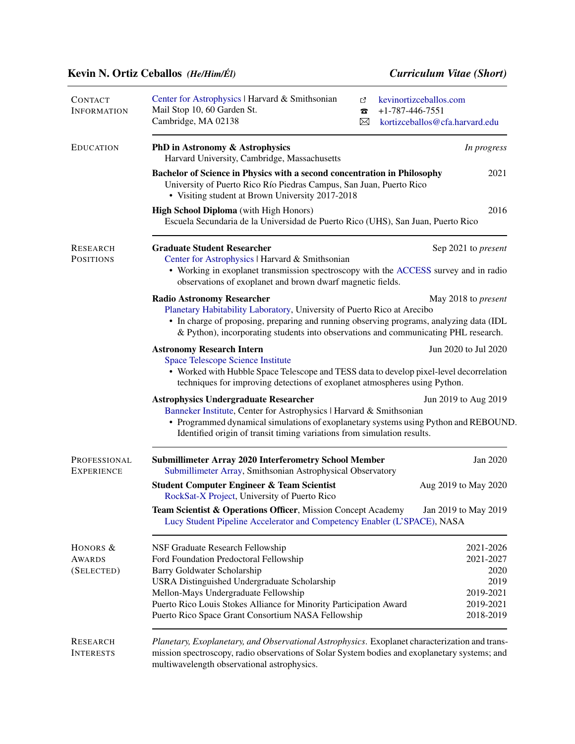## Kevin N. Ortiz Ceballos *(He/Him/Él) Curriculum Vitae (Short)*

| <b>CONTACT</b><br><b>INFORMATION</b>    | Center for Astrophysics   Harvard & Smithsonian<br>Mail Stop 10, 60 Garden St.<br>Cambridge, MA 02138                                                                                                                                                                                                                         | ♂<br>Б<br>$\boxtimes$ | kevinortizceballos.com<br>$+1-787-446-7551$<br>kortizceballos@cfa.harvard.edu |  |
|-----------------------------------------|-------------------------------------------------------------------------------------------------------------------------------------------------------------------------------------------------------------------------------------------------------------------------------------------------------------------------------|-----------------------|-------------------------------------------------------------------------------|--|
| <b>EDUCATION</b>                        | PhD in Astronomy & Astrophysics<br>Harvard University, Cambridge, Massachusetts                                                                                                                                                                                                                                               |                       | In progress                                                                   |  |
|                                         | 2021<br>Bachelor of Science in Physics with a second concentration in Philosophy<br>University of Puerto Rico Río Piedras Campus, San Juan, Puerto Rico<br>• Visiting student at Brown University 2017-2018                                                                                                                   |                       |                                                                               |  |
|                                         | <b>High School Diploma</b> (with High Honors)<br>Escuela Secundaria de la Universidad de Puerto Rico (UHS), San Juan, Puerto Rico                                                                                                                                                                                             |                       | 2016                                                                          |  |
| RESEARCH<br><b>POSITIONS</b>            | <b>Graduate Student Researcher</b><br>Center for Astrophysics   Harvard & Smithsonian<br>• Working in exoplanet transmission spectroscopy with the ACCESS survey and in radio<br>observations of exoplanet and brown dwarf magnetic fields.                                                                                   |                       | Sep 2021 to <i>present</i>                                                    |  |
|                                         | <b>Radio Astronomy Researcher</b><br>May 2018 to <i>present</i><br>Planetary Habitability Laboratory, University of Puerto Rico at Arecibo<br>• In charge of proposing, preparing and running observing programs, analyzing data (IDL<br>& Python), incorporating students into observations and communicating PHL research.  |                       |                                                                               |  |
|                                         | <b>Astronomy Research Intern</b><br>Jun 2020 to Jul 2020<br><b>Space Telescope Science Institute</b><br>• Worked with Hubble Space Telescope and TESS data to develop pixel-level decorrelation<br>techniques for improving detections of exoplanet atmospheres using Python.                                                 |                       |                                                                               |  |
|                                         | <b>Astrophysics Undergraduate Researcher</b><br>Jun 2019 to Aug 2019<br>Banneker Institute, Center for Astrophysics   Harvard & Smithsonian<br>• Programmed dynamical simulations of exoplanetary systems using Python and REBOUND.<br>Identified origin of transit timing variations from simulation results.                |                       |                                                                               |  |
| PROFESSIONAL<br><b>EXPERIENCE</b>       | <b>Submillimeter Array 2020 Interferometry School Member</b><br>Submillimeter Array, Smithsonian Astrophysical Observatory                                                                                                                                                                                                    |                       | Jan 2020                                                                      |  |
|                                         | <b>Student Computer Engineer &amp; Team Scientist</b><br>RockSat-X Project, University of Puerto Rico                                                                                                                                                                                                                         |                       | Aug 2019 to May 2020                                                          |  |
|                                         | Team Scientist & Operations Officer, Mission Concept Academy<br>Jan 2019 to May 2019<br>Lucy Student Pipeline Accelerator and Competency Enabler (L'SPACE), NASA                                                                                                                                                              |                       |                                                                               |  |
| HONORS &<br><b>AWARDS</b><br>(SELECTED) | NSF Graduate Research Fellowship<br>Ford Foundation Predoctoral Fellowship<br>Barry Goldwater Scholarship<br>USRA Distinguished Undergraduate Scholarship<br>Mellon-Mays Undergraduate Fellowship<br>Puerto Rico Louis Stokes Alliance for Minority Participation Award<br>Puerto Rico Space Grant Consortium NASA Fellowship |                       | 2021-2026<br>2021-2027<br>2020<br>2019<br>2019-2021<br>2019-2021<br>2018-2019 |  |
| <b>RESEARCH</b><br><b>INTERESTS</b>     | Planetary, Exoplanetary, and Observational Astrophysics. Exoplanet characterization and trans-<br>mission spectroscopy, radio observations of Solar System bodies and exoplanetary systems; and<br>multiwavelength observational astrophysics.                                                                                |                       |                                                                               |  |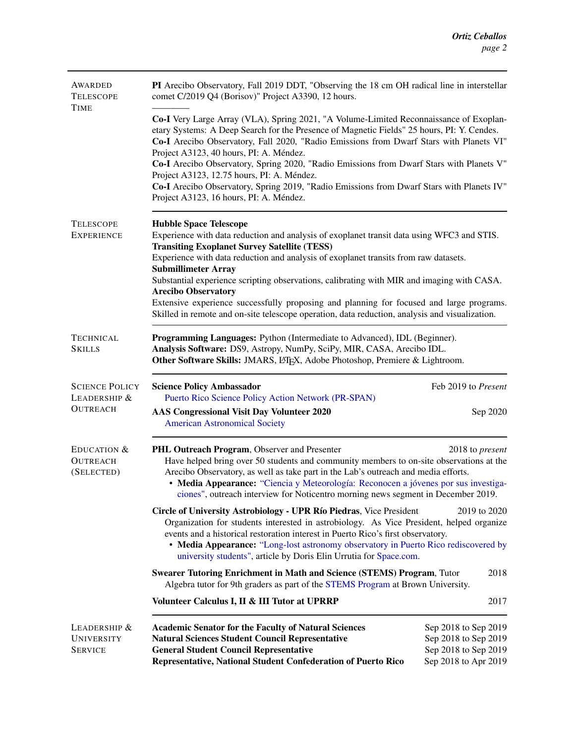| AWARDED<br><b>TELESCOPE</b><br><b>TIME</b>               | PI Arecibo Observatory, Fall 2019 DDT, "Observing the 18 cm OH radical line in interstellar<br>comet C/2019 Q4 (Borisov)" Project A3390, 12 hours.                                                                                                                                                                                                                                                                                                                                                                                                                                                                                 |                                                                                              |  |
|----------------------------------------------------------|------------------------------------------------------------------------------------------------------------------------------------------------------------------------------------------------------------------------------------------------------------------------------------------------------------------------------------------------------------------------------------------------------------------------------------------------------------------------------------------------------------------------------------------------------------------------------------------------------------------------------------|----------------------------------------------------------------------------------------------|--|
|                                                          | Co-I Very Large Array (VLA), Spring 2021, "A Volume-Limited Reconnaissance of Exoplan-<br>etary Systems: A Deep Search for the Presence of Magnetic Fields" 25 hours, PI: Y. Cendes.<br>Co-I Arecibo Observatory, Fall 2020, "Radio Emissions from Dwarf Stars with Planets VI"<br>Project A3123, 40 hours, PI: A. Méndez.<br>Co-I Arecibo Observatory, Spring 2020, "Radio Emissions from Dwarf Stars with Planets V"<br>Project A3123, 12.75 hours, PI: A. Méndez.<br>Co-I Arecibo Observatory, Spring 2019, "Radio Emissions from Dwarf Stars with Planets IV"<br>Project A3123, 16 hours, PI: A. Méndez.                       |                                                                                              |  |
| <b>TELESCOPE</b><br><b>EXPERIENCE</b>                    | <b>Hubble Space Telescope</b><br>Experience with data reduction and analysis of exoplanet transit data using WFC3 and STIS.<br><b>Transiting Exoplanet Survey Satellite (TESS)</b><br>Experience with data reduction and analysis of exoplanet transits from raw datasets.<br><b>Submillimeter Array</b><br>Substantial experience scripting observations, calibrating with MIR and imaging with CASA.<br><b>Arecibo Observatory</b><br>Extensive experience successfully proposing and planning for focused and large programs.<br>Skilled in remote and on-site telescope operation, data reduction, analysis and visualization. |                                                                                              |  |
| <b>TECHNICAL</b><br><b>SKILLS</b>                        | Programming Languages: Python (Intermediate to Advanced), IDL (Beginner).<br>Analysis Software: DS9, Astropy, NumPy, SciPy, MIR, CASA, Arecibo IDL.<br>Other Software Skills: JMARS, L/TEX, Adobe Photoshop, Premiere & Lightroom.                                                                                                                                                                                                                                                                                                                                                                                                 |                                                                                              |  |
| <b>SCIENCE POLICY</b><br>LEADERSHIP &<br><b>OUTREACH</b> | <b>Science Policy Ambassador</b><br>Puerto Rico Science Policy Action Network (PR-SPAN)<br>AAS Congressional Visit Day Volunteer 2020<br><b>American Astronomical Society</b>                                                                                                                                                                                                                                                                                                                                                                                                                                                      | Feb 2019 to Present<br>Sep 2020                                                              |  |
| EDUCATION &<br><b>OUTREACH</b><br>(SELECTED)             | PHL Outreach Program, Observer and Presenter<br>Have helped bring over 50 students and community members to on-site observations at the<br>Arecibo Observatory, as well as take part in the Lab's outreach and media efforts.<br>• Media Appearance: "Ciencia y Meteorología: Reconocen a jóvenes por sus investiga-<br>ciones", outreach interview for Noticentro morning news segment in December 2019.                                                                                                                                                                                                                          | 2018 to present                                                                              |  |
|                                                          | Circle of University Astrobiology - UPR Río Piedras, Vice President<br>2019 to 2020<br>Organization for students interested in astrobiology. As Vice President, helped organize<br>events and a historical restoration interest in Puerto Rico's first observatory.<br>• Media Appearance: "Long-lost astronomy observatory in Puerto Rico rediscovered by<br>university students", article by Doris Elin Urrutia for Space.com.                                                                                                                                                                                                   |                                                                                              |  |
|                                                          | <b>Swearer Tutoring Enrichment in Math and Science (STEMS) Program, Tutor</b><br>2018<br>Algebra tutor for 9th graders as part of the STEMS Program at Brown University.                                                                                                                                                                                                                                                                                                                                                                                                                                                           |                                                                                              |  |
|                                                          | Volunteer Calculus I, II & III Tutor at UPRRP                                                                                                                                                                                                                                                                                                                                                                                                                                                                                                                                                                                      | 2017                                                                                         |  |
| LEADERSHIP $&$<br>UNIVERSITY<br><b>SERVICE</b>           | <b>Academic Senator for the Faculty of Natural Sciences</b><br><b>Natural Sciences Student Council Representative</b><br><b>General Student Council Representative</b><br>Representative, National Student Confederation of Puerto Rico                                                                                                                                                                                                                                                                                                                                                                                            | Sep 2018 to Sep 2019<br>Sep 2018 to Sep 2019<br>Sep 2018 to Sep 2019<br>Sep 2018 to Apr 2019 |  |